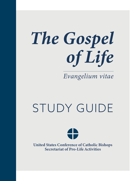# *The Gospel of Life*

*Evangelium vitae*

# STUDY GUIDE



United States Conference of Catholic Bishops Secretariat of Pro-Life Activities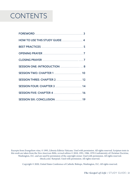# **CONTENTS**

| HOW TO USE THIS STUDY GUIDE  4     |  |
|------------------------------------|--|
|                                    |  |
|                                    |  |
|                                    |  |
| SESSION ONE: INTRODUCTION  8       |  |
|                                    |  |
|                                    |  |
| <b>SESSION FOUR: CHAPTER 3  14</b> |  |
|                                    |  |
|                                    |  |

Excerpts from *Evangelium vitae*, © 1995, Libreria Editrice Vaticana. Used with permission. All rights reserved. Scripture texts in this work are taken from the *New American Bible, revised edition* © 2010, 1991, 1986, 1970 Confraternity of Christian Doctrine, Washington, D.C. and are used by permission of the copyright owner. Used with permission. All rights reserved. iStock.com/ Rawpixel. Used with permission. All rights reserved.

Copyright © 2020, United States Conference of Catholic Bishops, Washington, D.C. All rights reserved.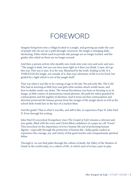### FOREWORD

Imagine being born into a village located in a jungle, and growing up under the care of people who do not see a path through; moreover, the jungle is changing daily, thickening. Paths which used to provide safe passage are no longer trusted, and the guides who relied on them are no longer around.

And then a person arrives who steadily sees, looks into your eyes and soul, and says, "The jungle is dark, but you can bear more light in it than you think. Come, let's go this way. This way is sure. It is *the* way. Illumined by the truth. Ending in life. It is THROUGH the jungle, not outside of it, that your adventure of life is to be lived, but guided by a light which is not of the jungle itself."

That was what it was like to be coming of age in the late 70s and early 80s. The Cold War had us learning as little boys and girls what nuclear attack would mean, and how to shelter under our desks. The Sexual Revolution was bent on forming us in its image, as little centers of autonomous sexual pleasure, the path for safety guarded by contraception and the legality of abortion. And it turns out that contraception and abortion protected the human person from the ravages of the jungle about as well as the school desk would fare in the face of a nuclear blast.

And the guide? That is what it was like, and still is like, to experience Pope St. John Paul II. Even through his writing.

John Paul II's encyclical *Evangelium vitae* (*The Gospel of Life*) remains a relevant and sure guide, filled with the voice and Christ-filled confidence of a pope we call "Great." This encyclical on the importance of every human life and of protecting human dignity—especially through the protection of human life—helps guide readers to experience the courage, joy, and clarity of this great teacher and compassionate spiritual father.

Through it, we can find paths through the culture of death, the Valley of the Shadow of Death in the world today, to a culture of life, in which each of us has a part to play.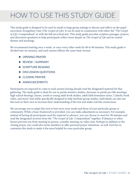# HOW TO USE THIS STUDY GUIDE

This study guide is designed to be used in small or large group settings to discuss and reflect on the papal encyclical, *Evangelium vitae* (*The Gospel of Life*). It can be used in conjunction with either the "*The Gospel of Life:* Compendium" or with the full encyclical text. This study guide provides scripture passages, prayers, and discussion questions to help participants reflect more deeply on *The Gospel of Life* and its central themes and teachings.

We recommend meeting once a week, or once every other week for 60 to 90 minutes. This study guide is divided into six sessions, and each session follows the same basic format:

- ◆ OPENING PRAYER
- ◆ REVIEW / SUMMARY
- ◆ SCRIPTURE READING
- $\blacklozenge$  DISCUSSION QUESTIONS
- ◆ CLOSING PRAYER
- $\triangle$  ANNOUNCEMENTS

Participants are expected to come to each session having already read the designated material for that gathering. The study guide is ideal for use in parish ministry studies, diocesan or parish pro-life meetings, high school theology classes, youth or young adult book studies, adult faith formation series, Catholic book clubs, and more! And while specifically designed to help facilitate group studies, individuals can also use this tool on their own to increase their understanding of the text and make real-life connections.

We encourage you to adapt this tool to best serve your needs and those of your particular group or community. While a basic framework is provided, you can make adjustments as necessary. For example, instead of having all participants read the material in advance, you can choose to meet for 90 minutes and read the designated sections from the "*The Gospel of Life:* Compendium" together. If distance or other factors prevent you from meeting in person, consider meeting via video chat. Perhaps in addition to the closing prayer, you could also invite members to offer personal prayer intentions, as well. Feel free to customize this study to make it the most helpful for your particular group.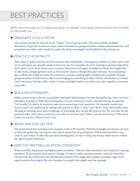# BEST PRACTICES

*While we encourage you to adapt this study as needed, some basic best practices are provided to help guide you.*

#### **THE DESIGNATE A FACILITATOR.**

One person should be selected as the "leader" of your group study. This person helps facilitate discussion, keeps the session on topic, sends reminders to group members, makes announcements, and completes any other tasks needed to make the study meaningful and fruitful for all participants.

#### ◆ PRACTICE HOSPITALITY.

Take steps to make everyone to feel welcome and comfortable. Greet group members as they arrive and try to anticipate any specific needs as best you can. For example, if you're meeting in person, help them find a place to set down their coats or purses. Have pens and paper available for those who might like to take notes. Simple gestures such as this extend a sense of hospitality and welcome. If your meeting space allows for it and you have the resources, consider making light refreshments available. Perhaps group members would want to take turns bringing in something to share. While refreshments certainly aren't necessary, having coffee, sodas, or juice and light snacks can make your time together even more enjoyable.

#### ◆ BUILD RELATIONSHIPS.

Make a point to get to know one another and build relationships. At your first gathering, have everyone introduce and share a little about themselves. As you continue to meet, consider having an opening "ice breaker" in which all members take turns answering a new question. For example, maybe you want to start your gathering by asking each person to share a "rose" and "thorn" from their week: some blessing or exciting news and a challenge or something they would like prayers for. You can also do fun questions like: *What place would you most like to visit and why*? *What's your favorite movie? What food could you not live without?* And so on.

#### $\blacklozenge$  BEGIN AND END ON TIME.

We recommend that you keep your sessions to 60 or 90 minutes. Whichever length you choose, be sure to keep the gathering running on time out of respect for all participants. While some members may want to chat before or after the specified meeting time, be sure to keep the formal study session within the agreed upon timeframe.

#### $\blacktriangleright$  KEEP THE MEETING LOCATION CONSISTENT.

When possible, keep your meeting location consistent. This provides familiarity and reliability to group members. If the location does need to change, be sure to make announcements, send out reminders, and provide clear directions for the alternate location. You might also consider posting a sign in the usual location directing to the new location for people who might miss the message.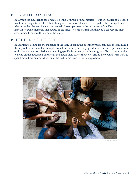#### $\blacktriangleright$  ALLOW TIME FOR SILENCE.

In a group setting, silence can often feel a little awkward or uncomfortable. But often, silence is needed to allow participants to collect their thoughts, reflect more deeply, or even gather the courage to share what is on their hearts. Silence can also help foster openness to the movement of the Holy Spirit. Explain to group members that pauses in the discussion are natural and that you'll all become more accustomed to silence throughout the study.

#### **FITHE HOLY SPIRIT LEAD.**

In addition to asking for the guidance of the Holy Spirit in the opening prayer, continue to let him lead throughout the session. For example, sometimes your group may spend more time on a particular topic or discussion question. Perhaps something specific is resonating with your group. You may not be able to get to all the discussion questions, and that is okay. Allow the Holy Spirit to help you discern what to spend more time on and when it may be best to move on to the next question.



iStock.com/Rawpixel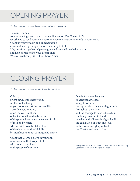### OPENING PRAYER

*To be prayed at the beginning of each session.*

Heavenly Father, As we come together to study and meditate upon *The Gospel of Life*, we ask you to send your Holy Spirit to open our hearts and minds to your truth. Grant us your wisdom and understanding as we seek a deeper appreciation for your gift of life. May our time together help us to grow in love and knowledge of you, and help us respond to your promptings. We ask this through Christ our Lord. Amen.

# CLOSING PRAYER

#### *To be prayed at the end of each session.*

#### O Mary,

bright dawn of the new world, Mother of the living, to you do we entrust the cause of life Look down, O Mother, upon the vast numbers of babies not allowed to be born, of the poor whose lives are made difficult, of men and women who are victims of brutal violence, of the elderly and the sick killed by indifference or out of misguided mercy.

Grant that all who believe in your Son may proclaim the Gospel of life with honesty and love to the people of our time.

Obtain for them the grace to accept that Gospel as a gift ever new, the joy of celebrating it with gratitude throughout their lives and the courage to bear witness to it resolutely, in order to build, together with all people of good will, the civilization of truth and love, to the praise and glory of God, the Creator and lover of life.

*Evangelium vitae* 105 © Libreria Editrice Vaticana, Vatican City. Used with permission. All rights reserved.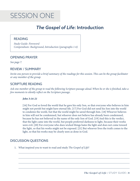# SESSION ONE

### *The Gospel of Life*: Introduction

#### READING

*Study Guide: Foreword Compendium: Background, Introduction (paragraphs 1-6)* 

#### OPENING PRAYER

*See page 7.*

#### REVIEW / SUMMARY

*Invite one person to provide a brief summary of the readings for this session. This can be the group facilitator or any member of the group.*

#### SCRIPTURE READING

*Ask one member of the group to read the following Scripture passage aloud. When he or she is finished, take a few moments to silently reflect on the Scripture passage.*

#### *John 3:16-21*

[16] For God so loved the world that he gave his only Son, so that everyone who believes in him might not perish but might have eternal life. [17] For God did not send his Son into the world to condemn the world, but that the world might be saved through him. [18] Whoever believes in him will not be condemned, but whoever does not believe has already been condemned, because he has not believed in the name of the only Son of God. [19] And this is the verdict, that the light came into the world, but people preferred darkness to light, because their works were evil. [20] For everyone who does wicked things hates the light and does not come toward the light, so that his works might not be exposed. [21] But whoever lives the truth comes to the light, so that his works may be clearly seen as done in God.

#### DISCUSSION QUESTIONS

1. What inspired you to want to read and study *The Gospel of Life*?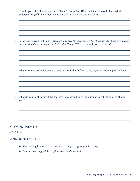2. How do you think the experiences of Pope St. John Paul II's early life may have influenced his understanding of human dignity and his decision to write this encyclical?

3. In the text we read that "*The Gospel of God's love for man, the Gospel of the dignity of the person and the Gospel of life are a single and indivisible Gospel.*" What do you think that means?

4. What are some examples of ways consciences find it difficult to distinguish between good and evil?

5. What do you think some of the characteristics would be of "an authentic civilization of truth and love"?

#### CLOSING PRAYER

*See page 7.*

- ¡ *The reading for our next session will be Chapter 1 (paragraphs #7-28).*
- ◆ *Our next meeting will be ...* [date, time, and location].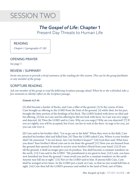

### *The Gospel of Life*: Chapter 1 Present Day Threats to Human Life

#### READING

*Chapter 1 (paragraphs #7-28)*

#### OPENING PRAYER

*See page 7.*

#### REVIEW / SUMMARY

*Invite one person to provide a brief summary of the readings for this session. This can be the group facilitator or any member of the group.*

#### SCRIPTURE READING

*Ask one member of the group to read the following Scripture passage aloud. When he or she is finished, take a few moments to silently reflect on the Scripture passage.*

#### *Genesis 4:2-16*

[2] Abel became a herder of flocks, and Cain a tiller of the ground. [3] In the course of time Cain brought an offering to the LORD from the fruit of the ground, [4] while Abel, for his part, brought the fatty portion of the firstlings of his flock. The LORD looked with favor on Abel and his offering, [5] but on Cain and his offering he did not look with favor. So Cain was very angry and dejected. [6] Then the LORD said to Cain: Why are you angry? Why are you dejected? [7] If you act rightly, you will be accepted; but if not, sin lies in wait at the door: its urge is for you, yet you can rule over it.

[8] Cain said to his brother Abel, "Let us go out in the field." When they were in the field, Cain attacked his brother Abel and killed him. [9] Then the LORD asked Cain, Where is your brother Abel? He answered, "I do not know. Am I my brother's keeper?" [10] God then said: What have you done? Your brother's blood cries out to me from the ground! [11] Now you are banned from the ground that opened its mouth to receive your brother's blood from your hand. [12] If you till the ground, it shall no longer give you its produce. You shall become a constant wanderer on the earth. [13] Cain said to the LORD: "My punishment is too great to bear. [14] Look, you have now banished me from the ground. I must avoid you and be a constant wanderer on the earth. Anyone may kill me at sight." [15] Not so! the LORD said to him. If anyone kills Cain, Cain shall be avenged seven times. So the LORD put a mark on Cain, so that no one would kill him at sight. [16] Cain then left the LORD's presence and settled in the land of Nod, east of Eden.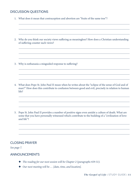#### DISCUSSION QUESTIONS

|  | 1. What does it mean that contraception and abortion are "fruits of the same tree"? |  |  |  |
|--|-------------------------------------------------------------------------------------|--|--|--|
|--|-------------------------------------------------------------------------------------|--|--|--|

2. Why do you think our society views suffering as meaningless? How does a Christian understanding of suffering counter such views?

3. Why is euthanasia a misguided response to suffering?

- 4. What does Pope St. John Paul II mean when he writes about the "eclipse of the sense of God and of man?" How does this contribute to confusion between good and evil, precisely in relation to human life?
- 5. Pope St. John Paul II provides a number of positive signs even amidst a culture of death. What are some that you have personally witnessed which contribute to the building of a "civilization of love and life"?

#### CLOSING PRAYER

*See page 7.*

- ¡ *The reading for our next session will be Chapter 2 (paragraphs #29-51).*
- ◆ *Our next meeting will be ...* [date, time, and location].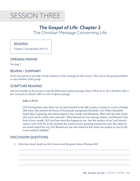# SESSION THREE

### *The Gospel of Life*: Chapter 2 The Christian Message Concerning Life

#### READING

*Chapter 2 (paragraphs #29-51)*

#### OPENING PRAYER

*See page 7.*

#### REVIEW / SUMMARY

*Invite one person to provide a brief summary of the readings for this session. This can be the group facilitator or any member of the group.*

#### SCRIPTURE READING

*Ask one member of the group to read the following Scripture passage aloud. When he or she is finished, take a few moments to silently reflect on the Scripture passage.*

#### *Luke 1:39-45*

[39] During those days Mary set out and traveled to the hill country in haste to a town of Judah, [40] where she entered the house of Zechariah and greeted Elizabeth. [41] When Elizabeth heard Mary's greeting, the infant leaped in her womb, and Elizabeth, filled with the holy Spirit, [42] cried out in a loud voice and said, "Most blessed are you among women, and blessed is the fruit of your womb. [43] And how does this happen to me, that the mother of my Lord should come to me? [44] For at the moment the sound of your greeting reached my ears, the infant in my womb leaped for joy. [45] Blessed are you who believed that what was spoken to you by the Lord would be fulfilled."

#### DISCUSSION QUESTIONS

1. How does Jesus' death on the Cross reveal the great value of human life?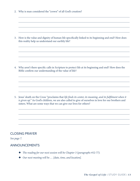|  |  | 2. Why is man considered the "crown" of all God's creation? |  |  |  |  |
|--|--|-------------------------------------------------------------|--|--|--|--|
|--|--|-------------------------------------------------------------|--|--|--|--|

3. How is the value and dignity of human life specifically linked to its beginning and end? How does this reality help us understand our earthly life?

4. Why aren't there specific calls in Scripture to protect life at its beginning and end? How does the Bible confirm our understanding of the value of life?

5. Jesus' death on the Cross "proclaims that *life finds its center, its meaning, and its fulfilment when it is given up.*" As God's children, we are also called to give of ourselves in love for our brothers and sisters. What are some ways that we can give our lives for others?

#### CLOSING PRAYER

*See page 7.*

- ¡ *The reading for our next session will be Chapter 3 (paragraphs #52-77).*
- ◆ *Our next meeting will be ...* [date, time, and location].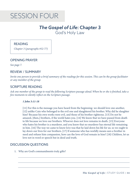### SESSION FOUR

### *The Gospel of Life*: Chapter 3 God's Holy Law

#### READING

*Chapter 3 (paragraphs #52-77)*

#### OPENING PRAYER

*See page 7.*

#### REVIEW / SUMMARY

*Invite one person to provide a brief summary of the readings for this session. This can be the group facilitator or any member of the group.*

#### SCRIPTURE READING

*Ask one member of the group to read the following Scripture passage aloud. When he or she is finished, take a few moments to silently reflect on the Scripture passage.*

#### *1 John 3:11-18*

[11] For this is the message you have heard from the beginning: we should love one another, [12] unlike Cain who belonged to the evil one and slaughtered his brother. Why did he slaughter him? Because his own works were evil, and those of his brother righteous. [13] Do not be amazed, [then,] brothers, if the world hates you. [14] We know that we have passed from death to life because we love our brothers. Whoever does not love remains in death. [15] Everyone who hates his brother is a murderer, and you know that no murderer has eternal life remaining in him. [16] The way we came to know love was that he laid down his life for us; so we ought to lay down our lives for our brothers. [17] If someone who has worldly means sees a brother in need and refuses him compassion, how can the love of God remain in him? [18] Children, let us love not in word or speech but in deed and truth.

#### DISCUSSION QUESTIONS

1. Why are God's commandments truly gifts?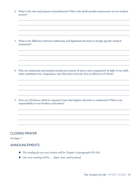2. What is the role and purpose of punishment? Why is the death penalty unnecessary in our modern society?

3. What is the difference between euthanasia and legitimate decisions to forego specific medical treatments?

4. Why are euthanasia and assisted suicide perversions of mercy and compassion? In light of our faith, what constitutes true compassion, and what does God ask of us as followers of Christ?

5. How are Christians called to respond to laws that legalize abortion or euthanasia? What is our responsibility to our brothers and sisters?

#### CLOSING PRAYER

*See page 7.*

- ¡ *The reading for our next session will be Chapter 4 (paragraph #78-102).*
- ◆ *Our next meeting will be ...* [date, time, and location].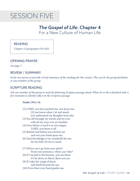### SESSION FIVE

### *The Gospel of Life*: Chapter 4 For a New Culture of Human Life

#### READING

*Chapter 4 (paragraphs #78-102)*

#### OPENING PRAYER

*See page 7.*

#### REVIEW / SUMMARY

*Invite one person to provide a brief summary of the readings for this session. This can be the group facilitator or any member of the group.*

#### SCRIPTURE READING

*Ask one member of the group to read the following Scripture passage aloud. When he or she is finished, take a few moments to silently reflect on the Scripture passage.*

#### *Psalm 139:1-16*

[1] LORD, you have probed me, you know me: [2] you know when I sit and stand; you understand my thoughts from afar. [3] You sift through my travels and my rest; with all my ways you are familiar. [4] Even before a word is on my tongue, LORD, you know it all. [5] Behind and before you encircle me and rest your hand upon me. [6] Such knowledge is too wonderful for me, far too lofty for me to reach. [7] Where can I go from your spirit? From your presence, where can I flee? [8] If I ascend to the heavens, you are there; if I lie down in Sheol, there you are. [9] If I take the wings of dawn and dwell beyond the sea, [10] Even there your hand guides me,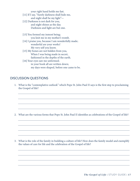your right hand holds me fast.

- [11] If I say, "Surely darkness shall hide me,
- and night shall be my light"— [12] Darkness is not dark for you, and night shines as the day. Darkness and light are but one.
- [13] You formed my inmost being; you knit me in my mother's womb.
- [14] I praise you, because I am wonderfully made; wonderful are your works! My very self you know.
- [15] My bones are not hidden from you, When I was being made in secret, fashioned in the depths of the earth.
- [16] Your eyes saw me unformed; in your book all are written down; my days were shaped, before one came to be.

#### DISCUSSION QUESTIONS

1. What is the "contemplative outlook" which Pope St. John Paul II says is the first step to proclaiming the Gospel of life?

2. What are the various forms that Pope St. John Paul II identifies as celebrations of the Gospel of life?

3. What is the role of the family in building a culture of life? How does the family model and exemplify the values of care for life and the celebration of the Gospel of life?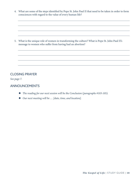4. What are some of the steps identified by Pope St. John Paul II that need to be taken in order to form consciences with regard to the value of every human life?

5. What is the unique role of women in transforming the culture? What is Pope St. John Paul II's message to women who suffer from having had an abortion?

#### CLOSING PRAYER

*See page 7.*

- ¡ *The reading for our next session will be the Conclusion (paragraphs #103-105).*
- ¡ *Our next meeting will be . . . [date, time, and location].*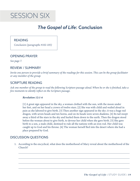

### *The Gospel of Life*: Conclusion

READING

*Conclusion (paragraphs #102-105)*

#### OPENING PRAYER

*See page 7.*

#### REVIEW / SUMMARY

*Invite one person to provide a brief summary of the readings for this session. This can be the group facilitator or any member of the group.*

#### SCRIPTURE READING

*Ask one member of the group to read the following Scripture passage aloud. When he or she is finished, take a few moments to silently reflect on the Scripture passage.*

#### *Revelation 12:1-6*

[1] A great sign appeared in the sky, a woman clothed with the sun, with the moon under her feet, and on her head a crown of twelve stars. [2] She was with child and wailed aloud in pain as she labored to give birth. [3] Then another sign appeared in the sky; it was a huge red dragon, with seven heads and ten horns, and on its heads were seven diadems. [4] Its tail swept away a third of the stars in the sky and hurled them down to the earth. Then the dragon stood before the woman about to give birth, to devour her child when she gave birth. [5] She gave birth to a son, a male child, destined to rule all the nations with an iron rod. Her child was caught up to God and his throne. [6] The woman herself fled into the desert where she had a place prepared by God.

#### DISCUSSION QUESTIONS

1. According to the encyclical, what does the motherhood of Mary reveal about the motherhood of the Church?